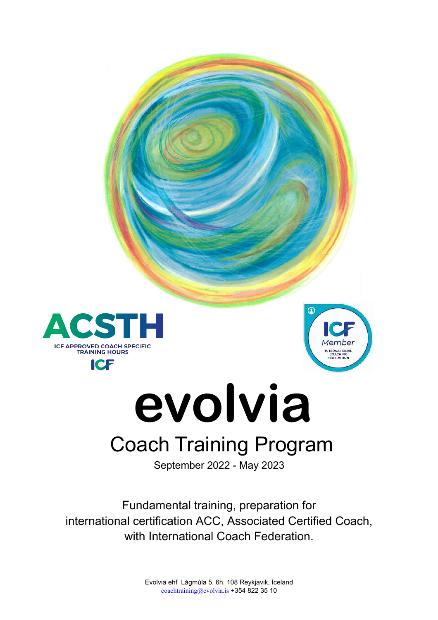



# evolvia **Coach Training Program**

September 2022 - May 2023

Fundamental training, preparation for international certification ACC, Associated Certified Coach, with International Coach Federation.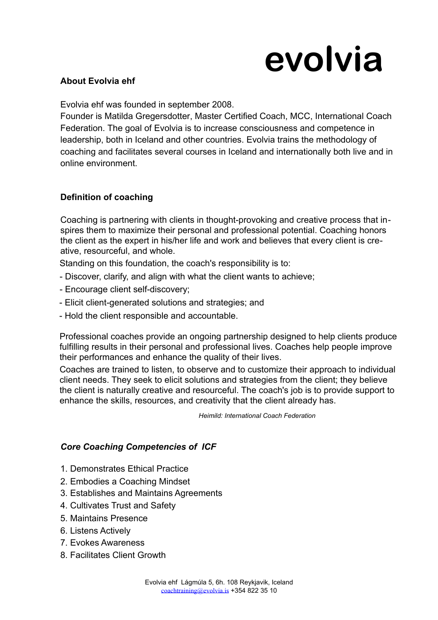# **evolvia**

## **About Evolvia ehf**

Evolvia ehf was founded in september 2008.

Founder is Matilda Gregersdotter, Master Certified Coach, MCC, International Coach Federation. The goal of Evolvia is to increase consciousness and competence in leadership, both in Iceland and other countries. Evolvia trains the methodology of coaching and facilitates several courses in Iceland and internationally both live and in online environment.

## **Definition of coaching**

Coaching is partnering with clients in thought-provoking and creative process that inspires them to maximize their personal and professional potential. Coaching honors the client as the expert in his/her life and work and believes that every client is creative, resourceful, and whole.

Standing on this foundation, the coach's responsibility is to:

- Discover, clarify, and align with what the client wants to achieve;
- Encourage client self-discovery;
- Elicit client-generated solutions and strategies; and
- Hold the client responsible and accountable.

Professional coaches provide an ongoing partnership designed to help clients produce fulfilling results in their personal and professional lives. Coaches help people improve their performances and enhance the quality of their lives.

 Coaches are trained to listen, to observe and to customize their approach to individual client needs. They seek to elicit solutions and strategies from the client; they believe the client is naturally creative and resourceful. The coach's job is to provide support to enhance the skills, resources, and creativity that the client already has.

 *Heimild: International Coach Federation*

## *Core Coaching Competencies of ICF*

- 1. Demonstrates Ethical Practice
- 2. Embodies a Coaching Mindset
- 3. Establishes and Maintains Agreements
- 4. Cultivates Trust and Safety
- 5. Maintains Presence
- 6. Listens Actively
- 7. Evokes Awareness
- 8. Facilitates Client Growth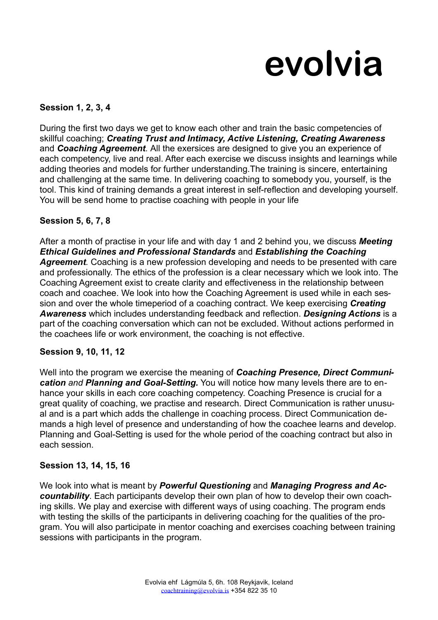# **evolvia**

# **Session 1, 2, 3, 4**

During the first two days we get to know each other and train the basic competencies of skillful coaching; *Creating Trust and Intimacy, Active Listening, Creating Awareness*  and *Coaching Agreement.* All the exersices are designed to give you an experience of each competency, live and real. After each exercise we discuss insights and learnings while adding theories and models for further understanding.The training is sincere, entertaining and challenging at the same time. In delivering coaching to somebody you, yourself, is the tool. This kind of training demands a great interest in self-reflection and developing yourself. You will be send home to practise coaching with people in your life

#### **Session 5, 6, 7, 8**

After a month of practise in your life and with day 1 and 2 behind you, we discuss *Meeting Ethical Guidelines and Professional Standards* and *Establishing the Coaching Agreement.* Coaching is a new profession developing and needs to be presented with care and professionally. The ethics of the profession is a clear necessary which we look into. The Coaching Agreement exist to create clarity and effectiveness in the relationship between coach and coachee. We look into how the Coaching Agreement is used while in each session and over the whole timeperiod of a coaching contract. We keep exercising *Creating Awareness* which includes understanding feedback and reflection. *Designing Actions* is a part of the coaching conversation which can not be excluded. Without actions performed in the coachees life or work environment, the coaching is not effective.

#### **Session 9, 10, 11, 12**

Well into the program we exercise the meaning of *Coaching Presence, Direct Communication and Planning and Goal-Setting.* You will notice how many levels there are to enhance your skills in each core coaching competency. Coaching Presence is crucial for a great quality of coaching, we practise and research. Direct Communication is rather unusual and is a part which adds the challenge in coaching process. Direct Communication demands a high level of presence and understanding of how the coachee learns and develop. Planning and Goal-Setting is used for the whole period of the coaching contract but also in each session.

#### **Session 13, 14, 15, 16**

We look into what is meant by *Powerful Questioning* and *Managing Progress and Accountability*. Each participants develop their own plan of how to develop their own coaching skills. We play and exercise with different ways of using coaching. The program ends with testing the skills of the participants in delivering coaching for the qualities of the program. You will also participate in mentor coaching and exercises coaching between training sessions with participants in the program.